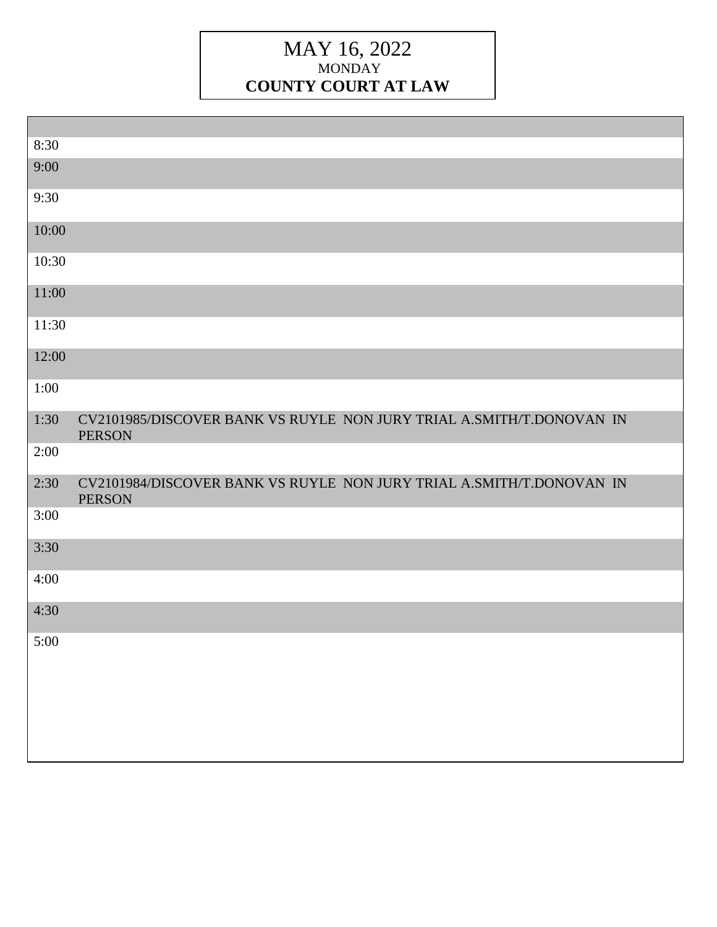## MAY 16, 2022 MONDAY **COUNTY COURT AT LAW**

| 8:30  |                                                                                       |
|-------|---------------------------------------------------------------------------------------|
| 9:00  |                                                                                       |
| 9:30  |                                                                                       |
| 10:00 |                                                                                       |
| 10:30 |                                                                                       |
| 11:00 |                                                                                       |
| 11:30 |                                                                                       |
| 12:00 |                                                                                       |
| 1:00  |                                                                                       |
| 1:30  | CV2101985/DISCOVER BANK VS RUYLE NON JURY TRIAL A.SMITH/T.DONOVAN IN<br><b>PERSON</b> |
| 2:00  |                                                                                       |
| 2:30  | CV2101984/DISCOVER BANK VS RUYLE NON JURY TRIAL A.SMITH/T.DONOVAN IN<br><b>PERSON</b> |
| 3:00  |                                                                                       |
| 3:30  |                                                                                       |
| 4:00  |                                                                                       |
| 4:30  |                                                                                       |
| 5:00  |                                                                                       |
|       |                                                                                       |
|       |                                                                                       |
|       |                                                                                       |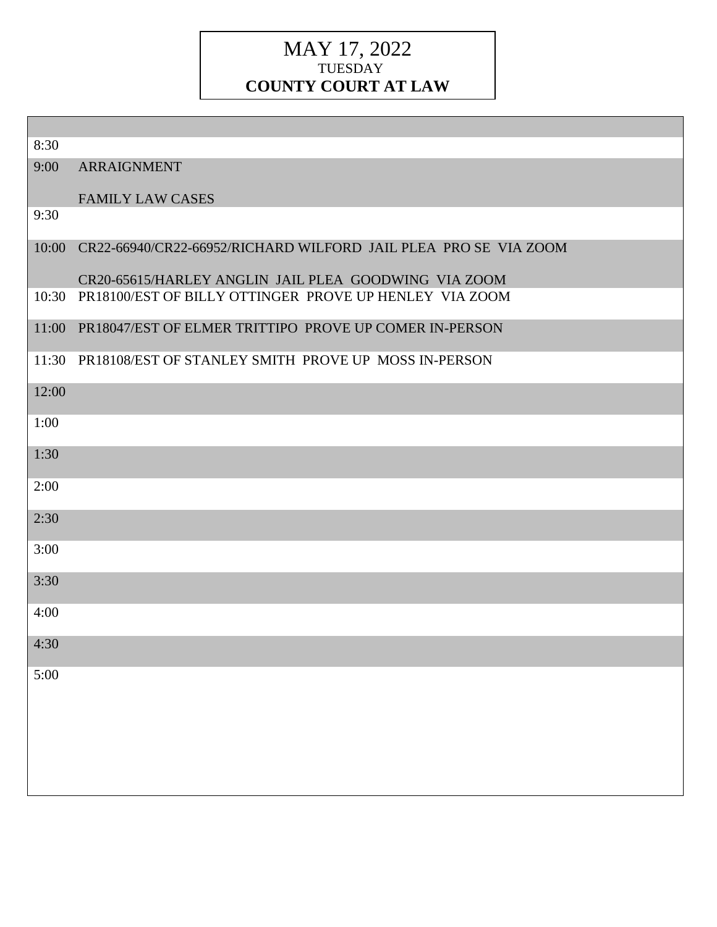### MAY 17, 2022 TUESDAY **COUNTY COURT AT LAW**

| 8:30  |                                                                       |
|-------|-----------------------------------------------------------------------|
| 9:00  | <b>ARRAIGNMENT</b>                                                    |
|       | <b>FAMILY LAW CASES</b>                                               |
| 9:30  |                                                                       |
|       | 10:00 CR22-66940/CR22-66952/RICHARD WILFORD JAIL PLEA PRO SE VIA ZOOM |
|       | CR20-65615/HARLEY ANGLIN JAIL PLEA GOODWING VIA ZOOM                  |
| 10:30 | PR18100/EST OF BILLY OTTINGER PROVE UP HENLEY VIA ZOOM                |
|       | 11:00 PR18047/EST OF ELMER TRITTIPO PROVE UP COMER IN-PERSON          |
|       | 11:30 PR18108/EST OF STANLEY SMITH PROVE UP MOSS IN-PERSON            |
| 12:00 |                                                                       |
| 1:00  |                                                                       |
| 1:30  |                                                                       |
| 2:00  |                                                                       |
| 2:30  |                                                                       |
| 3:00  |                                                                       |
| 3:30  |                                                                       |
| 4:00  |                                                                       |
| 4:30  |                                                                       |
| 5:00  |                                                                       |
|       |                                                                       |
|       |                                                                       |
|       |                                                                       |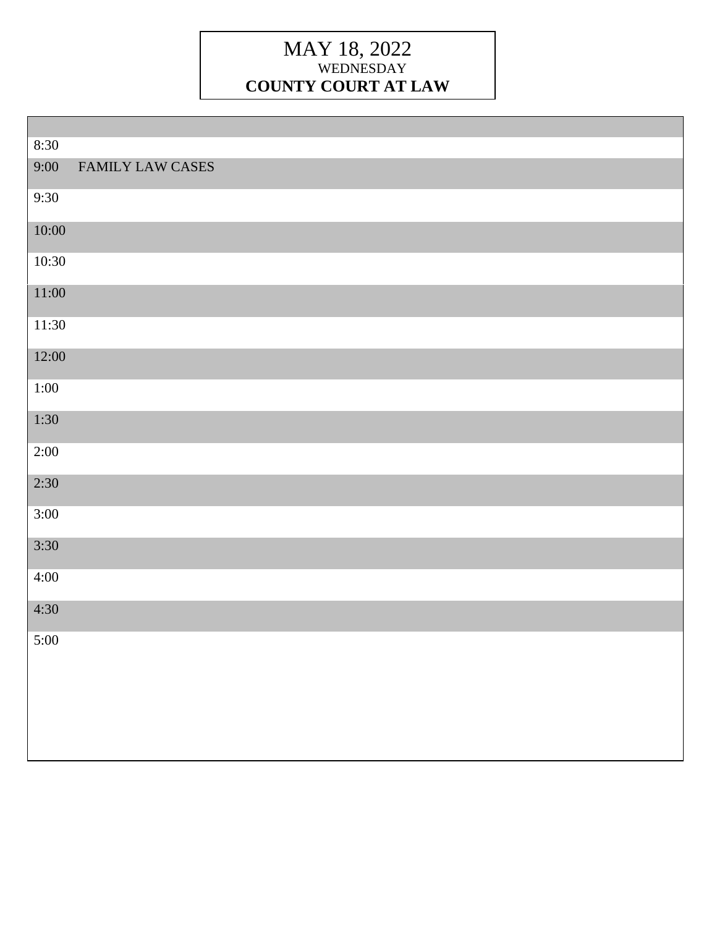## MAY 18, 2022 WEDNESDAY **COUNTY COURT AT LAW**

| 8:30   |                  |
|--------|------------------|
| 9:00   | FAMILY LAW CASES |
| 9:30   |                  |
| 10:00  |                  |
| 10:30  |                  |
| 11:00  |                  |
| 11:30  |                  |
| 12:00  |                  |
| $1:00$ |                  |
| 1:30   |                  |
| 2:00   |                  |
| 2:30   |                  |
| 3:00   |                  |
| 3:30   |                  |
| 4:00   |                  |
| 4:30   |                  |
| 5:00   |                  |
|        |                  |
|        |                  |
|        |                  |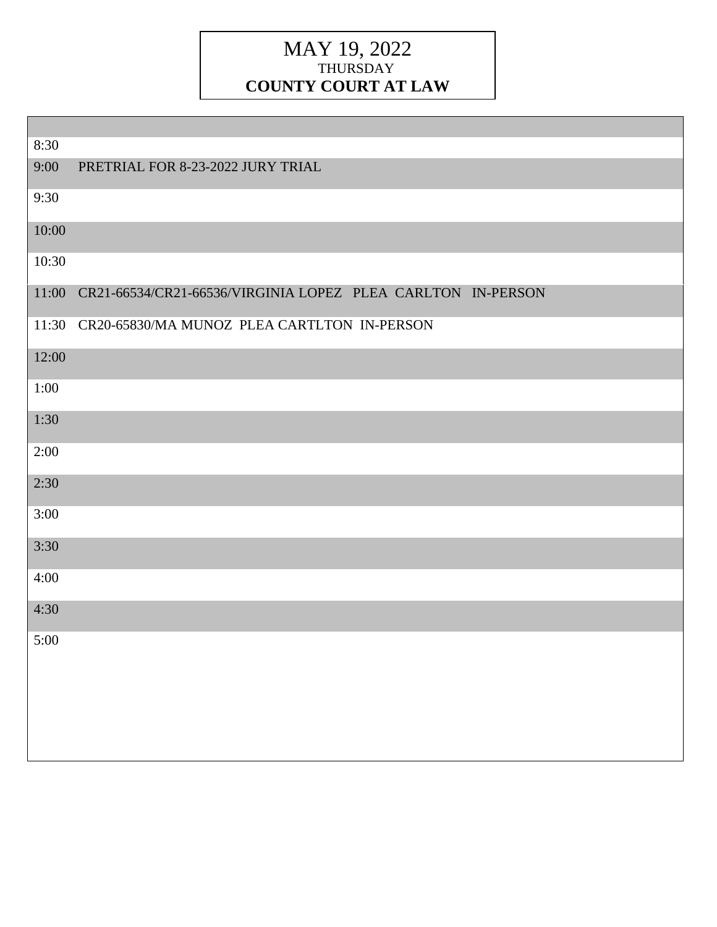## MAY 19, 2022 THURSDAY **COUNTY COURT AT LAW**

| 8:30  |                                                             |
|-------|-------------------------------------------------------------|
| 9:00  | PRETRIAL FOR 8-23-2022 JURY TRIAL                           |
| 9:30  |                                                             |
| 10:00 |                                                             |
| 10:30 |                                                             |
| 11:00 | CR21-66534/CR21-66536/VIRGINIA LOPEZ PLEA CARLTON IN-PERSON |
| 11:30 | CR20-65830/MA MUNOZ PLEA CARTLTON IN-PERSON                 |
| 12:00 |                                                             |
| 1:00  |                                                             |
| 1:30  |                                                             |
| 2:00  |                                                             |
| 2:30  |                                                             |
| 3:00  |                                                             |
| 3:30  |                                                             |
| 4:00  |                                                             |
| 4:30  |                                                             |
| 5:00  |                                                             |
|       |                                                             |
|       |                                                             |
|       |                                                             |